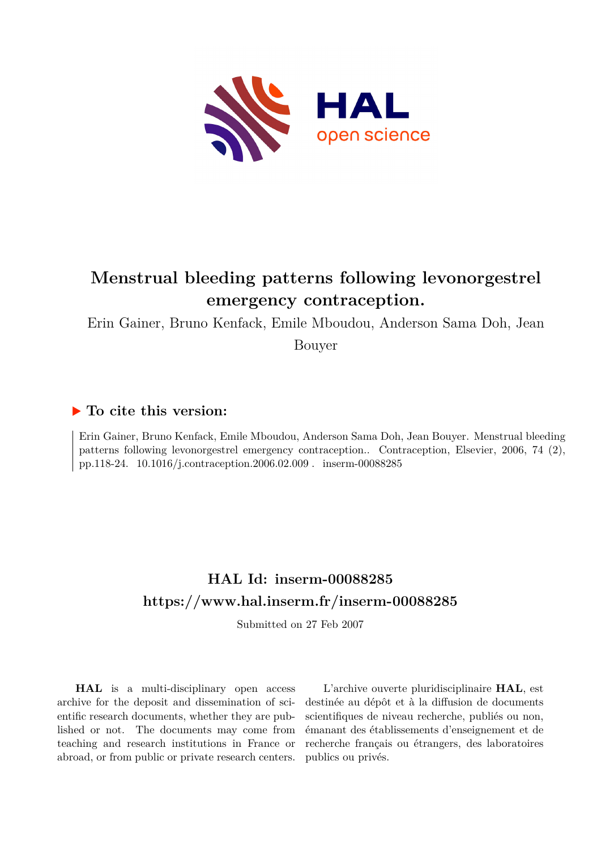

## **Menstrual bleeding patterns following levonorgestrel emergency contraception.**

Erin Gainer, Bruno Kenfack, Emile Mboudou, Anderson Sama Doh, Jean

Bouyer

## **To cite this version:**

Erin Gainer, Bruno Kenfack, Emile Mboudou, Anderson Sama Doh, Jean Bouyer. Menstrual bleeding patterns following levonorgestrel emergency contraception.. Contraception, Elsevier, 2006, 74 (2), pp.118-24. 10.1016/j.contraception.2006.02.009 . inserm-00088285

## **HAL Id: inserm-00088285 <https://www.hal.inserm.fr/inserm-00088285>**

Submitted on 27 Feb 2007

**HAL** is a multi-disciplinary open access archive for the deposit and dissemination of scientific research documents, whether they are published or not. The documents may come from teaching and research institutions in France or abroad, or from public or private research centers.

L'archive ouverte pluridisciplinaire **HAL**, est destinée au dépôt et à la diffusion de documents scientifiques de niveau recherche, publiés ou non, émanant des établissements d'enseignement et de recherche français ou étrangers, des laboratoires publics ou privés.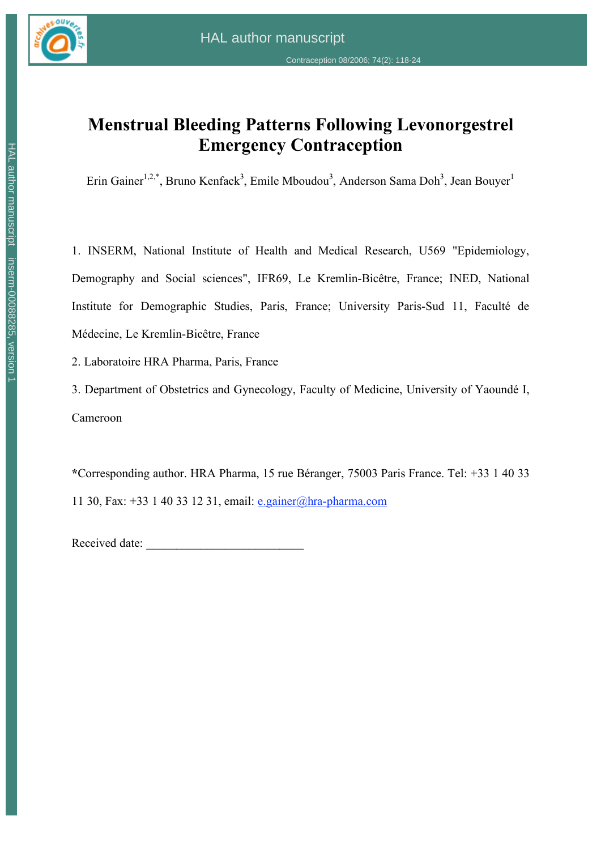

# **Menstrual Bleeding Patterns Following Levonorgestrel Emergency Contraception**

Erin Gainer<sup>1,2,\*</sup>, Bruno Kenfack<sup>3</sup>, Emile Mboudou<sup>3</sup>, Anderson Sama Doh<sup>3</sup>, Jean Bouyer<sup>1</sup>

1. INSERM, National Institute of Health and Medical Research, U569 "Epidemiology, Demography and Social sciences", IFR69, Le Kremlin-Bicêtre, France; INED, National Institute for Demographic Studies, Paris, France; University Paris-Sud 11, Faculté de Médecine, Le Kremlin-Bicêtre, France

2. Laboratoire HRA Pharma, Paris, France

3. Department of Obstetrics and Gynecology, Faculty of Medicine, University of Yaoundé I, Cameroon

**\***Corresponding author. HRA Pharma, 15 rue Béranger, 75003 Paris France. Tel: +33 1 40 33 11 30, Fax: +33 1 40 33 12 31, email: e.gainer@hra-pharma.com

Received date: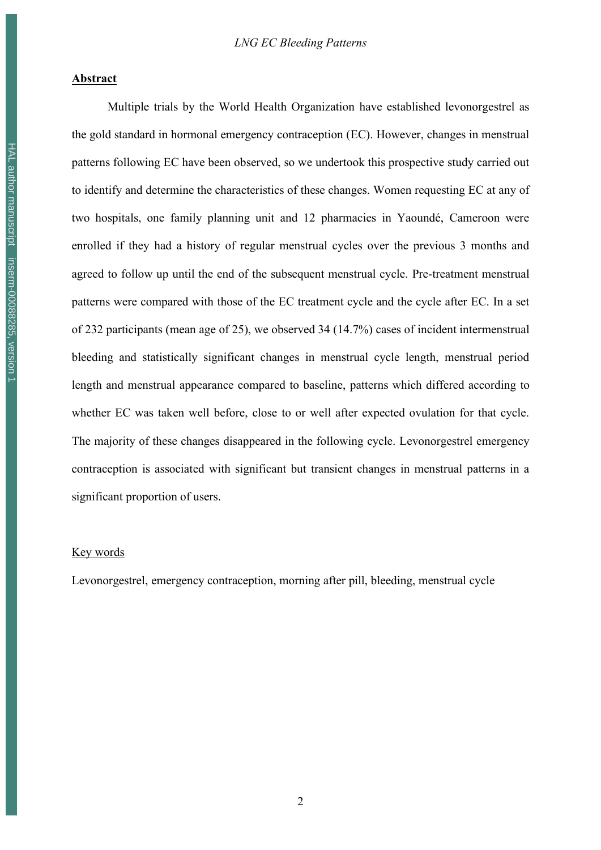#### **Abstract**

Multiple trials by the World Health Organization have established levonorgestrel as the gold standard in hormonal emergency contraception (EC). However, changes in menstrual patterns following EC have been observed, so we undertook this prospective study carried out to identify and determine the characteristics of these changes. Women requesting EC at any of two hospitals, one family planning unit and 12 pharmacies in Yaoundé, Cameroon were enrolled if they had a history of regular menstrual cycles over the previous 3 months and agreed to follow up until the end of the subsequent menstrual cycle. Pre-treatment menstrual patterns were compared with those of the EC treatment cycle and the cycle after EC. In a set of 232 participants (mean age of 25), we observed 34 (14.7%) cases of incident intermenstrual bleeding and statistically significant changes in menstrual cycle length, menstrual period length and menstrual appearance compared to baseline, patterns which differed according to whether EC was taken well before, close to or well after expected ovulation for that cycle. The majority of these changes disappeared in the following cycle. Levonorgestrel emergency contraception is associated with significant but transient changes in menstrual patterns in a significant proportion of users.

#### Key words

Levonorgestrel, emergency contraception, morning after pill, bleeding, menstrual cycle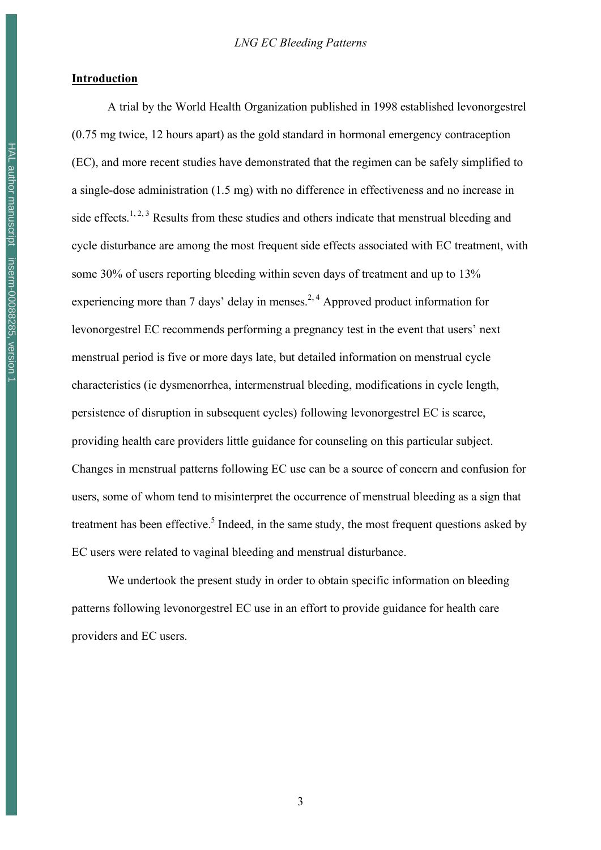#### **Introduction**

A trial by the World Health Organization published in 1998 established levonorgestrel (0.75 mg twice, 12 hours apart) as the gold standard in hormonal emergency contraception (EC), and more recent studies have demonstrated that the regimen can be safely simplified to a single-dose administration (1.5 mg) with no difference in effectiveness and no increase in side effects.<sup>1, 2, 3</sup> Results from these studies and others indicate that menstrual bleeding and cycle disturbance are among the most frequent side effects associated with EC treatment, with some 30% of users reporting bleeding within seven days of treatment and up to 13% experiencing more than 7 days' delay in menses.<sup>2, 4</sup> Approved product information for levonorgestrel EC recommends performing a pregnancy test in the event that users' next menstrual period is five or more days late, but detailed information on menstrual cycle characteristics (ie dysmenorrhea, intermenstrual bleeding, modifications in cycle length, persistence of disruption in subsequent cycles) following levonorgestrel EC is scarce, providing health care providers little guidance for counseling on this particular subject. Changes in menstrual patterns following EC use can be a source of concern and confusion for users, some of whom tend to misinterpret the occurrence of menstrual bleeding as a sign that treatment has been effective.<sup>5</sup> Indeed, in the same study, the most frequent questions asked by EC users were related to vaginal bleeding and menstrual disturbance.

We undertook the present study in order to obtain specific information on bleeding patterns following levonorgestrel EC use in an effort to provide guidance for health care providers and EC users.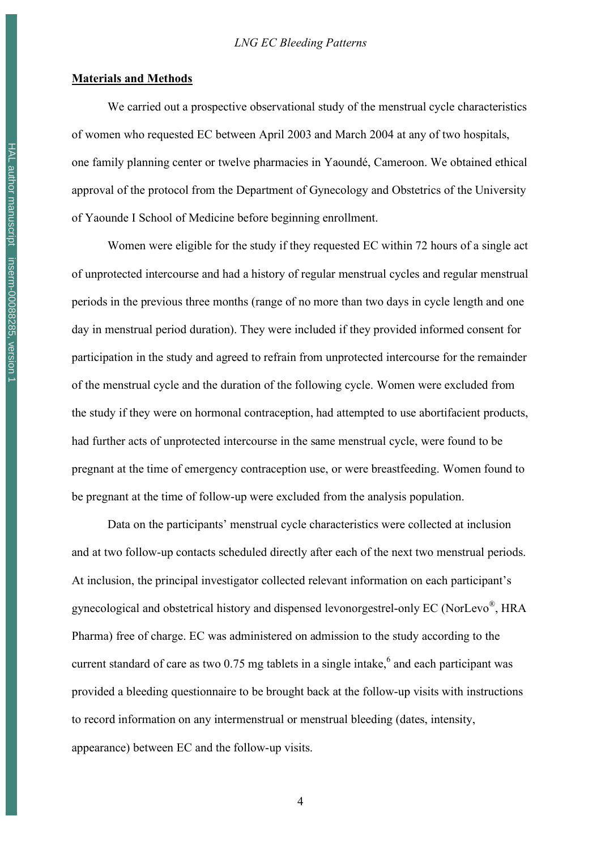#### **Materials and Methods**

We carried out a prospective observational study of the menstrual cycle characteristics of women who requested EC between April 2003 and March 2004 at any of two hospitals, one family planning center or twelve pharmacies in Yaoundé, Cameroon. We obtained ethical approval of the protocol from the Department of Gynecology and Obstetrics of the University of Yaounde I School of Medicine before beginning enrollment.

Women were eligible for the study if they requested EC within 72 hours of a single act of unprotected intercourse and had a history of regular menstrual cycles and regular menstrual periods in the previous three months (range of no more than two days in cycle length and one day in menstrual period duration). They were included if they provided informed consent for participation in the study and agreed to refrain from unprotected intercourse for the remainder of the menstrual cycle and the duration of the following cycle. Women were excluded from the study if they were on hormonal contraception, had attempted to use abortifacient products, had further acts of unprotected intercourse in the same menstrual cycle, were found to be pregnant at the time of emergency contraception use, or were breastfeeding. Women found to be pregnant at the time of follow-up were excluded from the analysis population.

Data on the participants' menstrual cycle characteristics were collected at inclusion and at two follow-up contacts scheduled directly after each of the next two menstrual periods. At inclusion, the principal investigator collected relevant information on each participant's gynecological and obstetrical history and dispensed levonorgestrel-only EC (NorLevo®, HRA Pharma) free of charge. EC was administered on admission to the study according to the current standard of care as two 0.75 mg tablets in a single intake, $6$  and each participant was provided a bleeding questionnaire to be brought back at the follow-up visits with instructions to record information on any intermenstrual or menstrual bleeding (dates, intensity, appearance) between EC and the follow-up visits.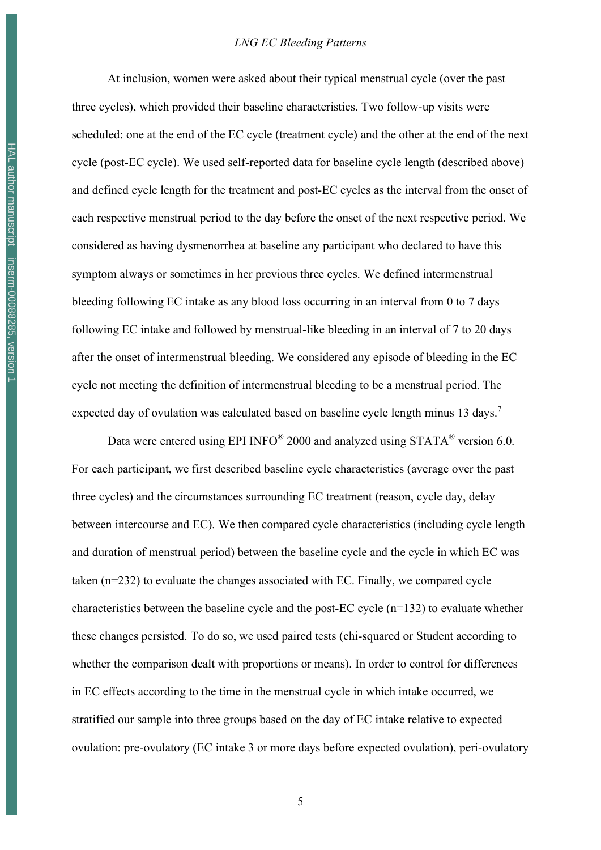At inclusion, women were asked about their typical menstrual cycle (over the past three cycles), which provided their baseline characteristics. Two follow-up visits were scheduled: one at the end of the EC cycle (treatment cycle) and the other at the end of the next cycle (post-EC cycle). We used self-reported data for baseline cycle length (described above) and defined cycle length for the treatment and post-EC cycles as the interval from the onset of each respective menstrual period to the day before the onset of the next respective period. We considered as having dysmenorrhea at baseline any participant who declared to have this symptom always or sometimes in her previous three cycles. We defined intermenstrual bleeding following EC intake as any blood loss occurring in an interval from 0 to 7 days following EC intake and followed by menstrual-like bleeding in an interval of 7 to 20 days after the onset of intermenstrual bleeding. We considered any episode of bleeding in the EC cycle not meeting the definition of intermenstrual bleeding to be a menstrual period. The expected day of ovulation was calculated based on baseline cycle length minus 13 days.<sup>7</sup>

Data were entered using EPI INFO<sup>®</sup> 2000 and analyzed using STATA<sup>®</sup> version 6.0. For each participant, we first described baseline cycle characteristics (average over the past three cycles) and the circumstances surrounding EC treatment (reason, cycle day, delay between intercourse and EC). We then compared cycle characteristics (including cycle length and duration of menstrual period) between the baseline cycle and the cycle in which EC was taken (n=232) to evaluate the changes associated with EC. Finally, we compared cycle characteristics between the baseline cycle and the post-EC cycle (n=132) to evaluate whether these changes persisted. To do so, we used paired tests (chi-squared or Student according to whether the comparison dealt with proportions or means). In order to control for differences in EC effects according to the time in the menstrual cycle in which intake occurred, we stratified our sample into three groups based on the day of EC intake relative to expected ovulation: pre-ovulatory (EC intake 3 or more days before expected ovulation), peri-ovulatory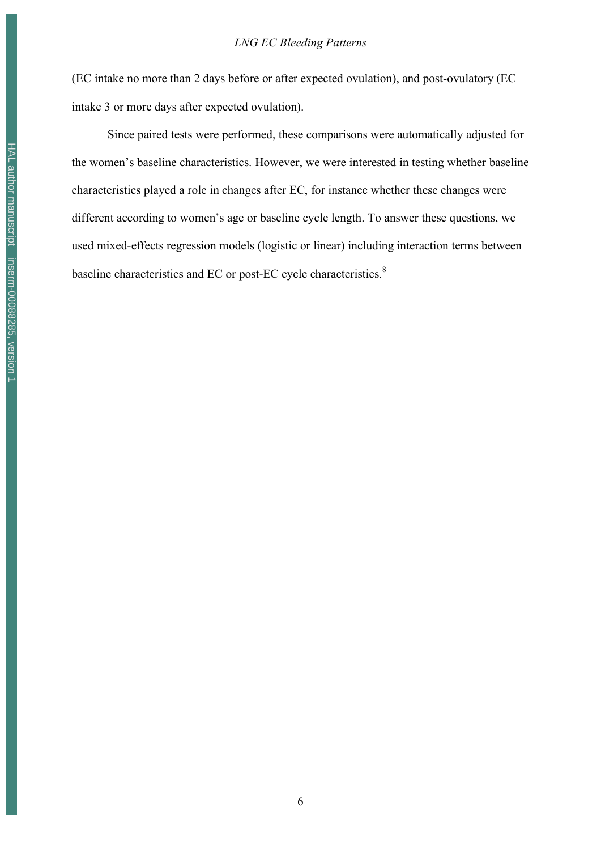(EC intake no more than 2 days before or after expected ovulation), and post-ovulatory (EC intake 3 or more days after expected ovulation).

Since paired tests were performed, these comparisons were automatically adjusted for the women's baseline characteristics. However, we were interested in testing whether baseline characteristics played a role in changes after EC, for instance whether these changes were different according to women's age or baseline cycle length. To answer these questions, we used mixed-effects regression models (logistic or linear) including interaction terms between baseline characteristics and EC or post-EC cycle characteristics. $8$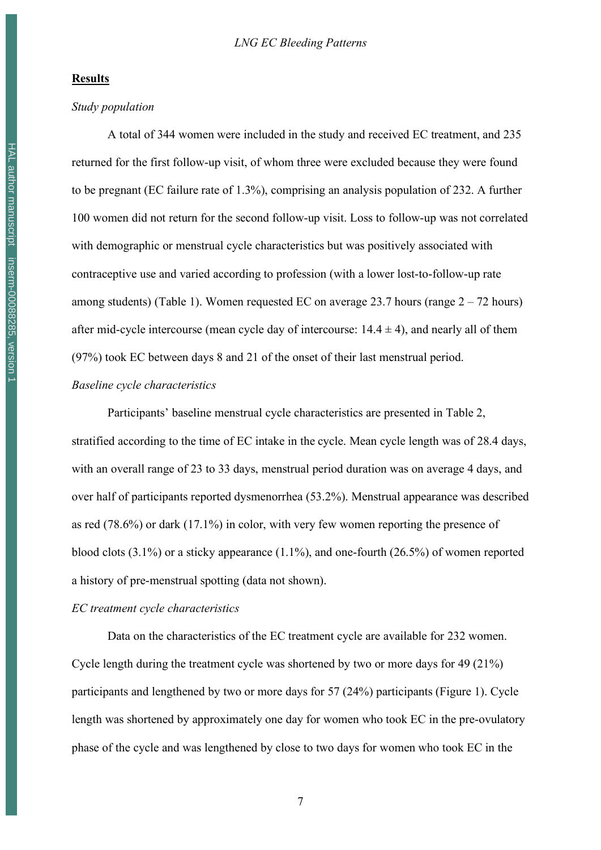#### **Results**

#### *Study population*

A total of 344 women were included in the study and received EC treatment, and 235 returned for the first follow-up visit, of whom three were excluded because they were found to be pregnant (EC failure rate of 1.3%), comprising an analysis population of 232. A further 100 women did not return for the second follow-up visit. Loss to follow-up was not correlated with demographic or menstrual cycle characteristics but was positively associated with contraceptive use and varied according to profession (with a lower lost-to-follow-up rate among students) (Table 1). Women requested EC on average 23.7 hours (range  $2 - 72$  hours) after mid-cycle intercourse (mean cycle day of intercourse:  $14.4 \pm 4$ ), and nearly all of them (97%) took EC between days 8 and 21 of the onset of their last menstrual period.

#### *Baseline cycle characteristics*

Participants' baseline menstrual cycle characteristics are presented in Table 2, stratified according to the time of EC intake in the cycle. Mean cycle length was of 28.4 days, with an overall range of 23 to 33 days, menstrual period duration was on average 4 days, and over half of participants reported dysmenorrhea (53.2%). Menstrual appearance was described as red (78.6%) or dark (17.1%) in color, with very few women reporting the presence of blood clots  $(3.1\%)$  or a sticky appearance  $(1.1\%)$ , and one-fourth  $(26.5\%)$  of women reported a history of pre-menstrual spotting (data not shown).

#### *EC treatment cycle characteristics*

Data on the characteristics of the EC treatment cycle are available for 232 women. Cycle length during the treatment cycle was shortened by two or more days for 49 (21%) participants and lengthened by two or more days for 57 (24%) participants (Figure 1). Cycle length was shortened by approximately one day for women who took EC in the pre-ovulatory phase of the cycle and was lengthened by close to two days for women who took EC in the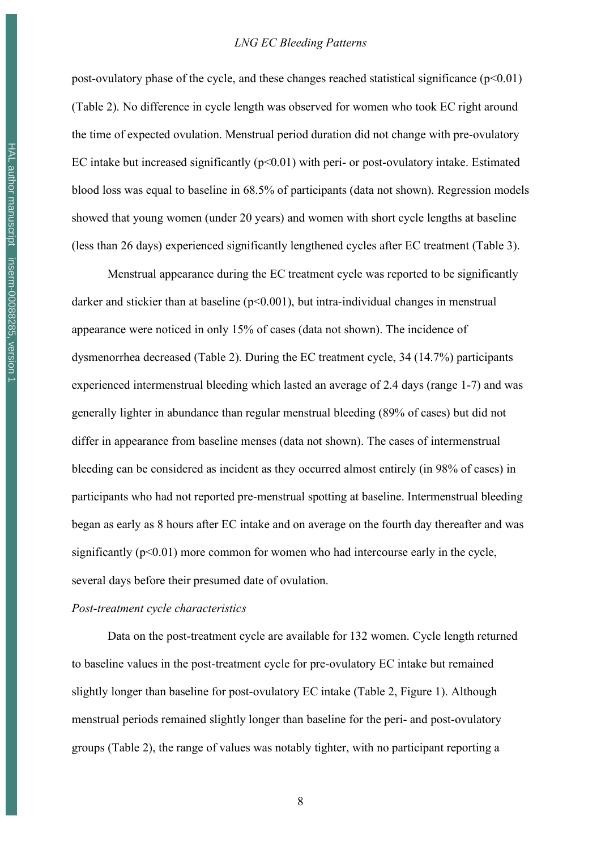post-ovulatory phase of the cycle, and these changes reached statistical significance  $(p<0.01)$ (Table 2). No difference in cycle length was observed for women who took EC right around the time of expected ovulation. Menstrual period duration did not change with pre-ovulatory EC intake but increased significantly ( $p<0.01$ ) with peri- or post-ovulatory intake. Estimated blood loss was equal to baseline in 68.5% of participants (data not shown). Regression models showed that young women (under 20 years) and women with short cycle lengths at baseline (less than 26 days) experienced significantly lengthened cycles after EC treatment (Table 3).

Menstrual appearance during the EC treatment cycle was reported to be significantly darker and stickier than at baseline (p<0.001), but intra-individual changes in menstrual appearance were noticed in only 15% of cases (data not shown). The incidence of dysmenorrhea decreased (Table 2). During the EC treatment cycle, 34 (14.7%) participants experienced intermenstrual bleeding which lasted an average of 2.4 days (range 1-7) and was generally lighter in abundance than regular menstrual bleeding (89% of cases) but did not differ in appearance from baseline menses (data not shown). The cases of intermenstrual bleeding can be considered as incident as they occurred almost entirely (in 98% of cases) in participants who had not reported pre-menstrual spotting at baseline. Intermenstrual bleeding began as early as 8 hours after EC intake and on average on the fourth day thereafter and was significantly  $(p<0.01)$  more common for women who had intercourse early in the cycle, several days before their presumed date of ovulation.

#### *Post-treatment cycle characteristics*

Data on the post-treatment cycle are available for 132 women. Cycle length returned to baseline values in the post-treatment cycle for pre-ovulatory EC intake but remained slightly longer than baseline for post-ovulatory EC intake (Table 2, Figure 1). Although menstrual periods remained slightly longer than baseline for the peri- and post-ovulatory groups (Table 2), the range of values was notably tighter, with no participant reporting a

HAL author manuscript inserm-00088285, version 1 HAL author manuscript inserm-00088285, version 1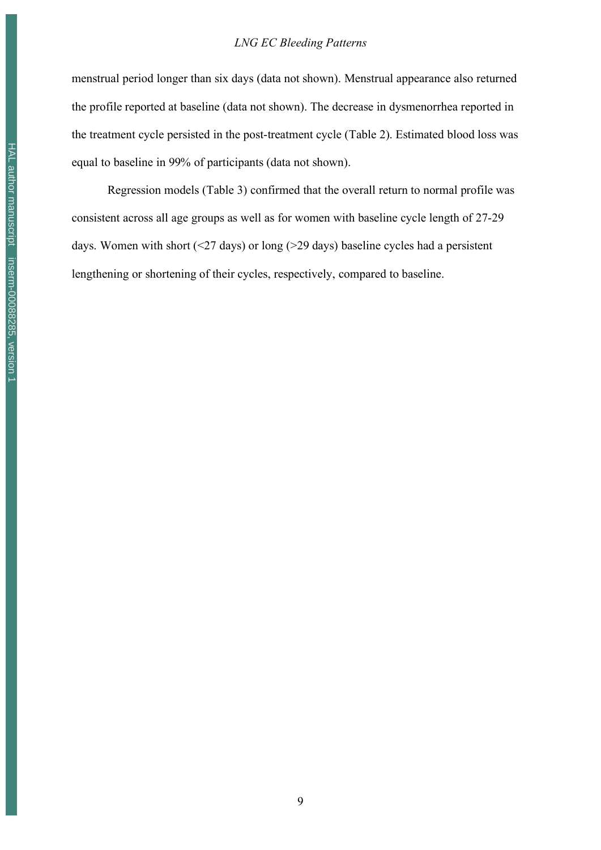#### *LNG EC Bleeding Patterns*

menstrual period longer than six days (data not shown). Menstrual appearance also returned the profile reported at baseline (data not shown). The decrease in dysmenorrhea reported in the treatment cycle persisted in the post-treatment cycle (Table 2). Estimated blood loss was equal to baseline in 99% of participants (data not shown).

Regression models (Table 3) confirmed that the overall return to normal profile was consistent across all age groups as well as for women with baseline cycle length of 27-29 days. Women with short  $(\leq 27 \text{ days})$  or long  $(> 29 \text{ days})$  baseline cycles had a persistent lengthening or shortening of their cycles, respectively, compared to baseline.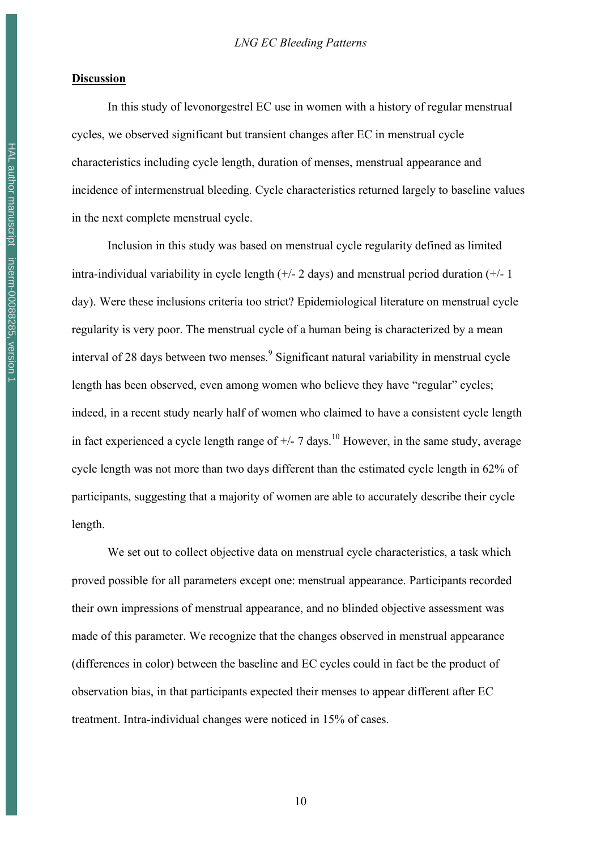#### **Discussion**

In this study of levonorgestrel EC use in women with a history of regular menstrual cycles, we observed significant but transient changes after EC in menstrual cycle characteristics including cycle length, duration of menses, menstrual appearance and incidence of intermenstrual bleeding. Cycle characteristics returned largely to baseline values in the next complete menstrual cycle.

Inclusion in this study was based on menstrual cycle regularity defined as limited intra-individual variability in cycle length  $(+/- 2$  days) and menstrual period duration  $(+/- 1)$ day). Were these inclusions criteria too strict? Epidemiological literature on menstrual cycle regularity is very poor. The menstrual cycle of a human being is characterized by a mean interval of 28 days between two menses. <sup>9</sup> Significant natural variability in menstrual cycle length has been observed, even among women who believe they have "regular" cycles; indeed, in a recent study nearly half of women who claimed to have a consistent cycle length in fact experienced a cycle length range of  $+/$ - 7 days.<sup>10</sup> However, in the same study, average cycle length was not more than two days different than the estimated cycle length in 62% of participants, suggesting that a majority of women are able to accurately describe their cycle length.

We set out to collect objective data on menstrual cycle characteristics, a task which proved possible for all parameters except one: menstrual appearance. Participants recorded their own impressions of menstrual appearance, and no blinded objective assessment was made of this parameter. We recognize that the changes observed in menstrual appearance (differences in color) between the baseline and EC cycles could in fact be the product of observation bias, in that participants expected their menses to appear different after EC treatment. Intra-individual changes were noticed in 15% of cases.

HAL author manuscript inserm-00088285, version 1 HAL author manuscript inserm-00088285, version 1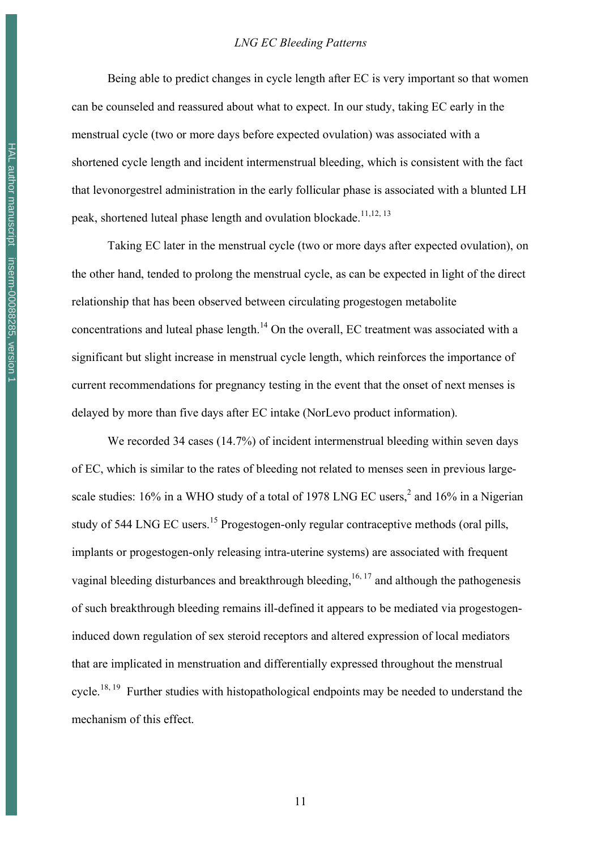Being able to predict changes in cycle length after EC is very important so that women can be counseled and reassured about what to expect. In our study, taking EC early in the menstrual cycle (two or more days before expected ovulation) was associated with a shortened cycle length and incident intermenstrual bleeding, which is consistent with the fact that levonorgestrel administration in the early follicular phase is associated with a blunted LH peak, shortened luteal phase length and ovulation blockade.<sup>11,12, 13</sup>

Taking EC later in the menstrual cycle (two or more days after expected ovulation), on the other hand, tended to prolong the menstrual cycle, as can be expected in light of the direct relationship that has been observed between circulating progestogen metabolite concentrations and luteal phase length.<sup>14</sup> On the overall, EC treatment was associated with a significant but slight increase in menstrual cycle length, which reinforces the importance of current recommendations for pregnancy testing in the event that the onset of next menses is delayed by more than five days after EC intake (NorLevo product information).

We recorded 34 cases (14.7%) of incident intermenstrual bleeding within seven days of EC, which is similar to the rates of bleeding not related to menses seen in previous largescale studies: 16% in a WHO study of a total of 1978 LNG EC users,<sup>2</sup> and 16% in a Nigerian study of 544 LNG EC users.<sup>15</sup> Progestogen-only regular contraceptive methods (oral pills, implants or progestogen-only releasing intra-uterine systems) are associated with frequent vaginal bleeding disturbances and breakthrough bleeding,  $16, 17$  and although the pathogenesis of such breakthrough bleeding remains ill-defined it appears to be mediated via progestogeninduced down regulation of sex steroid receptors and altered expression of local mediators that are implicated in menstruation and differentially expressed throughout the menstrual cycle.<sup>18, 19</sup> Further studies with histopathological endpoints may be needed to understand the mechanism of this effect.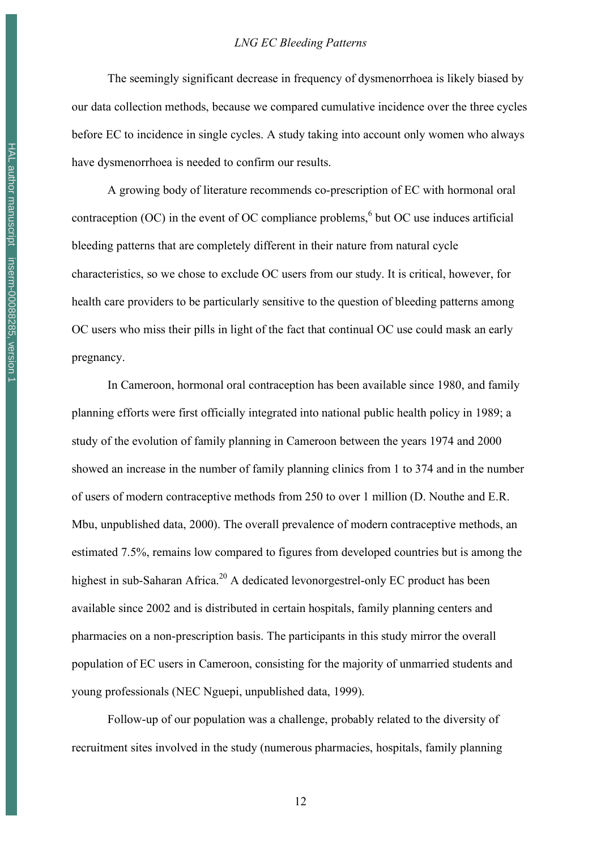The seemingly significant decrease in frequency of dysmenorrhoea is likely biased by our data collection methods, because we compared cumulative incidence over the three cycles before EC to incidence in single cycles. A study taking into account only women who always have dysmenorrhoea is needed to confirm our results.

A growing body of literature recommends co-prescription of EC with hormonal oral contraception (OC) in the event of OC compliance problems,  $6$  but OC use induces artificial bleeding patterns that are completely different in their nature from natural cycle characteristics, so we chose to exclude OC users from our study. It is critical, however, for health care providers to be particularly sensitive to the question of bleeding patterns among OC users who miss their pills in light of the fact that continual OC use could mask an early pregnancy.

In Cameroon, hormonal oral contraception has been available since 1980, and family planning efforts were first officially integrated into national public health policy in 1989; a study of the evolution of family planning in Cameroon between the years 1974 and 2000 showed an increase in the number of family planning clinics from 1 to 374 and in the number of users of modern contraceptive methods from 250 to over 1 million (D. Nouthe and E.R. Mbu, unpublished data, 2000). The overall prevalence of modern contraceptive methods, an estimated 7.5%, remains low compared to figures from developed countries but is among the highest in sub-Saharan Africa.<sup>20</sup> A dedicated levonorgestrel-only EC product has been available since 2002 and is distributed in certain hospitals, family planning centers and pharmacies on a non-prescription basis. The participants in this study mirror the overall population of EC users in Cameroon, consisting for the majority of unmarried students and young professionals (NEC Nguepi, unpublished data, 1999).

Follow-up of our population was a challenge, probably related to the diversity of recruitment sites involved in the study (numerous pharmacies, hospitals, family planning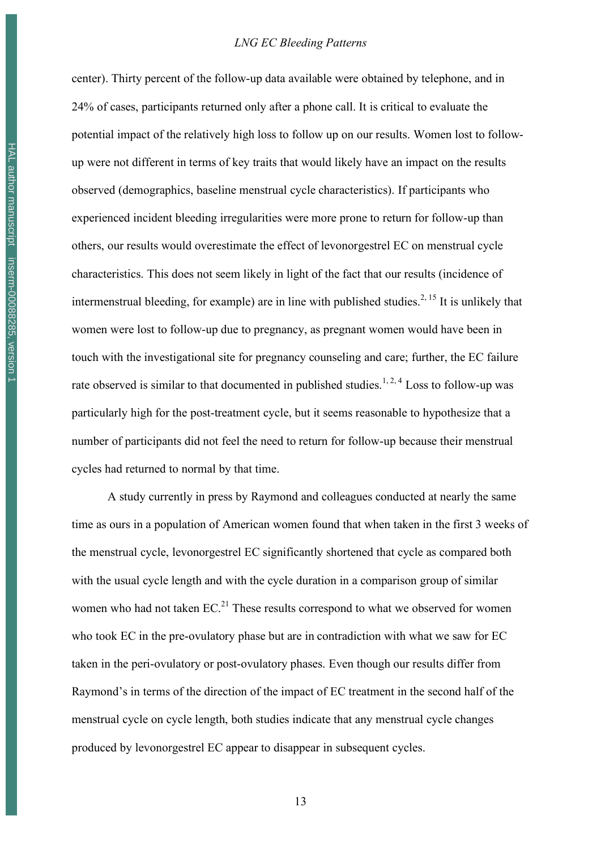center). Thirty percent of the follow-up data available were obtained by telephone, and in 24% of cases, participants returned only after a phone call. It is critical to evaluate the potential impact of the relatively high loss to follow up on our results. Women lost to followup were not different in terms of key traits that would likely have an impact on the results observed (demographics, baseline menstrual cycle characteristics). If participants who experienced incident bleeding irregularities were more prone to return for follow-up than others, our results would overestimate the effect of levonorgestrel EC on menstrual cycle characteristics. This does not seem likely in light of the fact that our results (incidence of intermenstrual bleeding, for example) are in line with published studies.<sup>2, 15</sup> It is unlikely that women were lost to follow-up due to pregnancy, as pregnant women would have been in touch with the investigational site for pregnancy counseling and care; further, the EC failure rate observed is similar to that documented in published studies.<sup>1, 2, 4</sup> Loss to follow-up was particularly high for the post-treatment cycle, but it seems reasonable to hypothesize that a number of participants did not feel the need to return for follow-up because their menstrual cycles had returned to normal by that time.

A study currently in press by Raymond and colleagues conducted at nearly the same time as ours in a population of American women found that when taken in the first 3 weeks of the menstrual cycle, levonorgestrel EC significantly shortened that cycle as compared both with the usual cycle length and with the cycle duration in a comparison group of similar women who had not taken  $EC^{21}$  These results correspond to what we observed for women who took EC in the pre-ovulatory phase but are in contradiction with what we saw for EC taken in the peri-ovulatory or post-ovulatory phases. Even though our results differ from Raymond's in terms of the direction of the impact of EC treatment in the second half of the menstrual cycle on cycle length, both studies indicate that any menstrual cycle changes produced by levonorgestrel EC appear to disappear in subsequent cycles.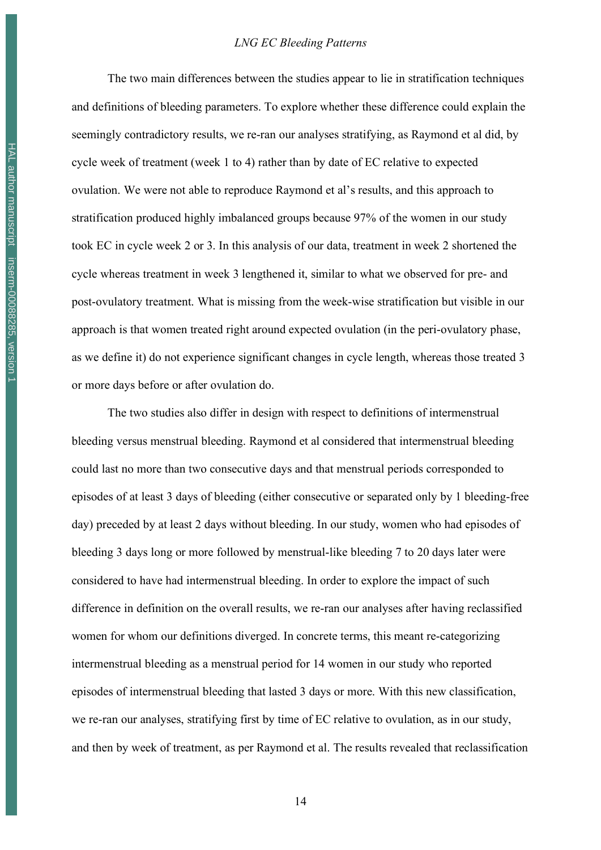The two main differences between the studies appear to lie in stratification techniques and definitions of bleeding parameters. To explore whether these difference could explain the seemingly contradictory results, we re-ran our analyses stratifying, as Raymond et al did, by cycle week of treatment (week 1 to 4) rather than by date of EC relative to expected ovulation. We were not able to reproduce Raymond et al's results, and this approach to stratification produced highly imbalanced groups because 97% of the women in our study took EC in cycle week 2 or 3. In this analysis of our data, treatment in week 2 shortened the cycle whereas treatment in week 3 lengthened it, similar to what we observed for pre- and post-ovulatory treatment. What is missing from the week-wise stratification but visible in our approach is that women treated right around expected ovulation (in the peri-ovulatory phase, as we define it) do not experience significant changes in cycle length, whereas those treated 3 or more days before or after ovulation do.

The two studies also differ in design with respect to definitions of intermenstrual bleeding versus menstrual bleeding. Raymond et al considered that intermenstrual bleeding could last no more than two consecutive days and that menstrual periods corresponded to episodes of at least 3 days of bleeding (either consecutive or separated only by 1 bleeding-free day) preceded by at least 2 days without bleeding. In our study, women who had episodes of bleeding 3 days long or more followed by menstrual-like bleeding 7 to 20 days later were considered to have had intermenstrual bleeding. In order to explore the impact of such difference in definition on the overall results, we re-ran our analyses after having reclassified women for whom our definitions diverged. In concrete terms, this meant re-categorizing intermenstrual bleeding as a menstrual period for 14 women in our study who reported episodes of intermenstrual bleeding that lasted 3 days or more. With this new classification, we re-ran our analyses, stratifying first by time of EC relative to ovulation, as in our study, and then by week of treatment, as per Raymond et al. The results revealed that reclassification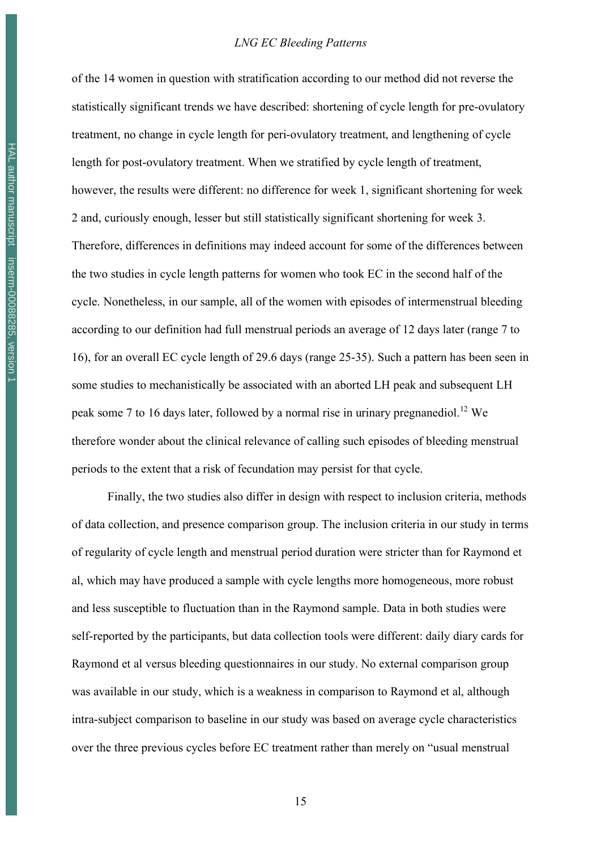#### *LNG EC Bleeding Patterns*

of the 14 women in question with stratification according to our method did not reverse the statistically significant trends we have described: shortening of cycle length for pre-ovulatory treatment, no change in cycle length for peri-ovulatory treatment, and lengthening of cycle length for post-ovulatory treatment. When we stratified by cycle length of treatment, however, the results were different: no difference for week 1, significant shortening for week 2 and, curiously enough, lesser but still statistically significant shortening for week 3. Therefore, differences in definitions may indeed account for some of the differences between the two studies in cycle length patterns for women who took EC in the second half of the cycle. Nonetheless, in our sample, all of the women with episodes of intermenstrual bleeding according to our definition had full menstrual periods an average of 12 days later (range 7 to 16), for an overall EC cycle length of 29.6 days (range 25-35). Such a pattern has been seen in some studies to mechanistically be associated with an aborted LH peak and subsequent LH peak some 7 to 16 days later, followed by a normal rise in urinary pregnanediol.<sup>12</sup> We therefore wonder about the clinical relevance of calling such episodes of bleeding menstrual periods to the extent that a risk of fecundation may persist for that cycle.

Finally, the two studies also differ in design with respect to inclusion criteria, methods of data collection, and presence comparison group. The inclusion criteria in our study in terms of regularity of cycle length and menstrual period duration were stricter than for Raymond et al, which may have produced a sample with cycle lengths more homogeneous, more robust and less susceptible to fluctuation than in the Raymond sample. Data in both studies were self-reported by the participants, but data collection tools were different: daily diary cards for Raymond et al versus bleeding questionnaires in our study. No external comparison group was available in our study, which is a weakness in comparison to Raymond et al, although intra-subject comparison to baseline in our study was based on average cycle characteristics over the three previous cycles before EC treatment rather than merely on "usual menstrual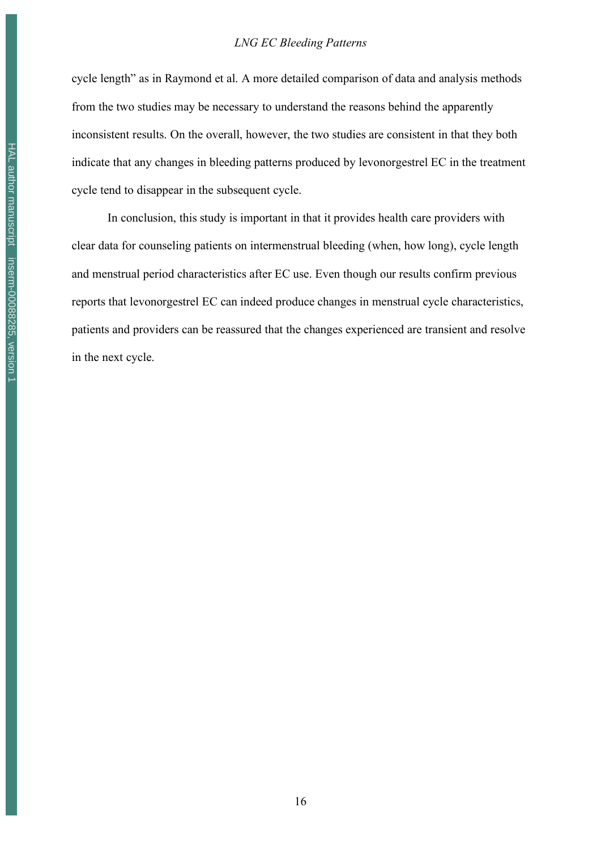#### *LNG EC Bleeding Patterns*

cycle length" as in Raymond et al. A more detailed comparison of data and analysis methods from the two studies may be necessary to understand the reasons behind the apparently inconsistent results. On the overall, however, the two studies are consistent in that they both indicate that any changes in bleeding patterns produced by levonorgestrel EC in the treatment cycle tend to disappear in the subsequent cycle.

In conclusion, this study is important in that it provides health care providers with clear data for counseling patients on intermenstrual bleeding (when, how long), cycle length and menstrual period characteristics after EC use. Even though our results confirm previous reports that levonorgestrel EC can indeed produce changes in menstrual cycle characteristics, patients and providers can be reassured that the changes experienced are transient and resolve in the next cycle.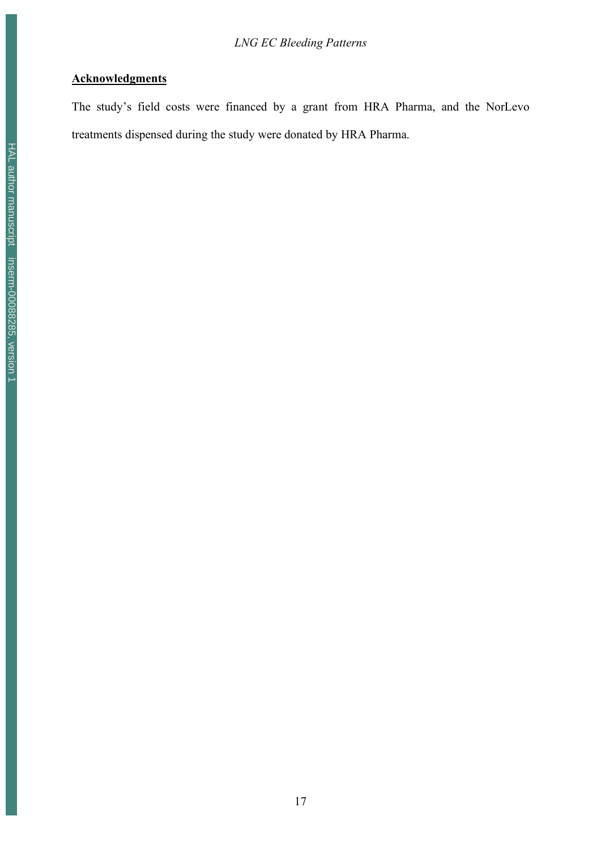### **Acknowledgments**

The study's field costs were financed by a grant from HRA Pharma, and the NorLevo treatments dispensed during the study were donated by HRA Pharma.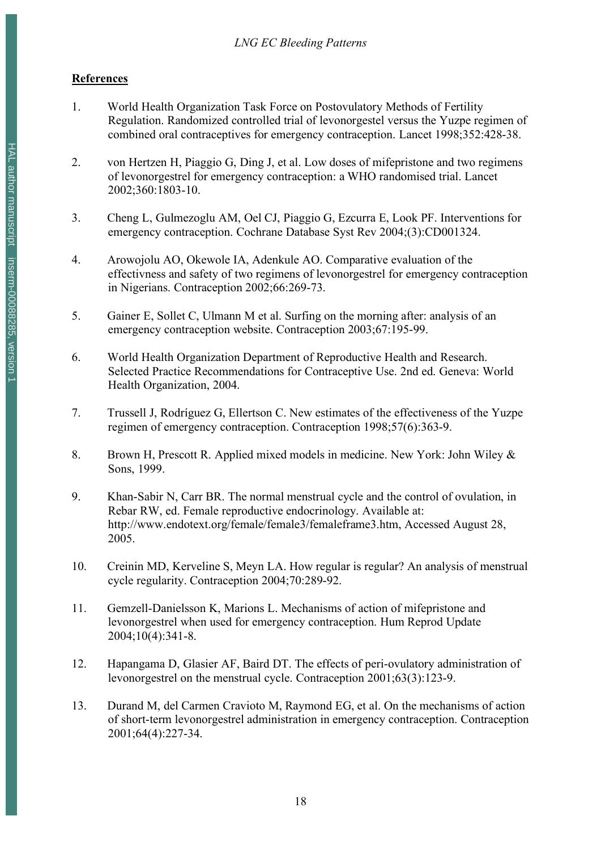### **References**

- 1. World Health Organization Task Force on Postovulatory Methods of Fertility Regulation. Randomized controlled trial of levonorgestel versus the Yuzpe regimen of combined oral contraceptives for emergency contraception. Lancet 1998;352:428-38.
- 2. von Hertzen H, Piaggio G, Ding J, et al. Low doses of mifepristone and two regimens of levonorgestrel for emergency contraception: a WHO randomised trial. Lancet 2002;360:1803-10.
- 3. Cheng L, Gulmezoglu AM, Oel CJ, Piaggio G, Ezcurra E, Look PF. Interventions for emergency contraception. Cochrane Database Syst Rev 2004;(3):CD001324.
- 4. Arowojolu AO, Okewole IA, Adenkule AO. Comparative evaluation of the effectivness and safety of two regimens of levonorgestrel for emergency contraception in Nigerians. Contraception 2002;66:269-73.
- 5. Gainer E, Sollet C, Ulmann M et al. Surfing on the morning after: analysis of an emergency contraception website. Contraception 2003;67:195-99.
- 6. World Health Organization Department of Reproductive Health and Research. Selected Practice Recommendations for Contraceptive Use. 2nd ed. Geneva: World Health Organization, 2004.
- 7. Trussell J, Rodríguez G, Ellertson C. New estimates of the effectiveness of the Yuzpe regimen of emergency contraception. Contraception 1998;57(6):363-9.
- 8. Brown H, Prescott R. Applied mixed models in medicine. New York: John Wiley & Sons, 1999.
- 9. Khan-Sabir N, Carr BR. The normal menstrual cycle and the control of ovulation, in Rebar RW, ed. Female reproductive endocrinology. Available at: http://www.endotext.org/female/female3/femaleframe3.htm, Accessed August 28, 2005.
- 10. Creinin MD, Kerveline S, Meyn LA. How regular is regular? An analysis of menstrual cycle regularity. Contraception 2004;70:289-92.
- 11. Gemzell-Danielsson K, Marions L. Mechanisms of action of mifepristone and levonorgestrel when used for emergency contraception. Hum Reprod Update 2004;10(4):341-8.
- 12. Hapangama D, Glasier AF, Baird DT. The effects of peri-ovulatory administration of levonorgestrel on the menstrual cycle. Contraception 2001;63(3):123-9.
- 13. Durand M, del Carmen Cravioto M, Raymond EG, et al. On the mechanisms of action of short-term levonorgestrel administration in emergency contraception. Contraception 2001;64(4):227-34.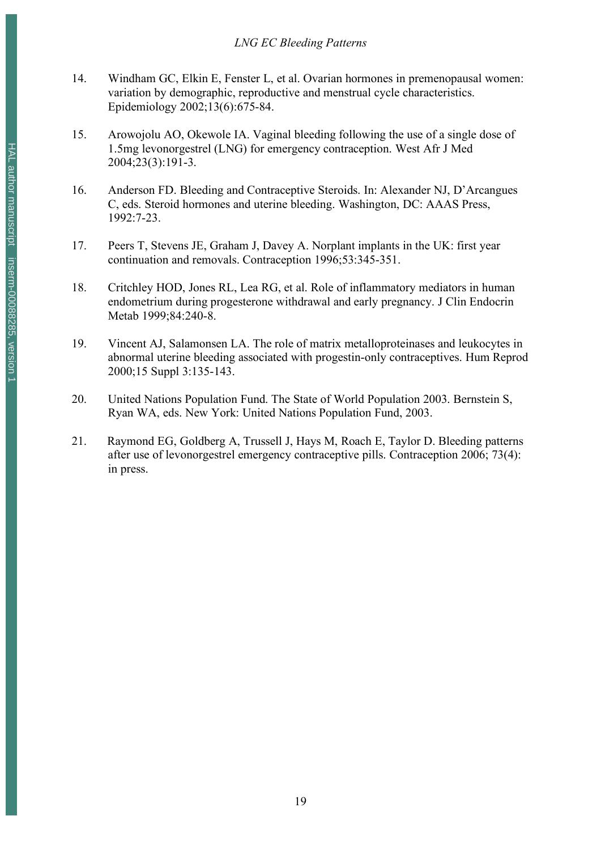- 14. Windham GC, Elkin E, Fenster L, et al. Ovarian hormones in premenopausal women: variation by demographic, reproductive and menstrual cycle characteristics. Epidemiology 2002;13(6):675-84.
- 15. Arowojolu AO, Okewole IA. Vaginal bleeding following the use of a single dose of 1.5mg levonorgestrel (LNG) for emergency contraception. West Afr J Med 2004;23(3):191-3.
- 16. Anderson FD. Bleeding and Contraceptive Steroids. In: Alexander NJ, D'Arcangues C, eds. Steroid hormones and uterine bleeding. Washington, DC: AAAS Press, 1992:7-23.
- 17. Peers T, Stevens JE, Graham J, Davey A. Norplant implants in the UK: first year continuation and removals. Contraception 1996;53:345-351.
- 18. Critchley HOD, Jones RL, Lea RG, et al. Role of inflammatory mediators in human endometrium during progesterone withdrawal and early pregnancy. J Clin Endocrin Metab 1999;84:240-8.
- 19. Vincent AJ, Salamonsen LA. The role of matrix metalloproteinases and leukocytes in abnormal uterine bleeding associated with progestin-only contraceptives. Hum Reprod 2000;15 Suppl 3:135-143.
- 20. United Nations Population Fund. The State of World Population 2003. Bernstein S, Ryan WA, eds. New York: United Nations Population Fund, 2003.
- 21. Raymond EG, Goldberg A, Trussell J, Hays M, Roach E, Taylor D. Bleeding patterns after use of levonorgestrel emergency contraceptive pills. Contraception 2006; 73(4): in press.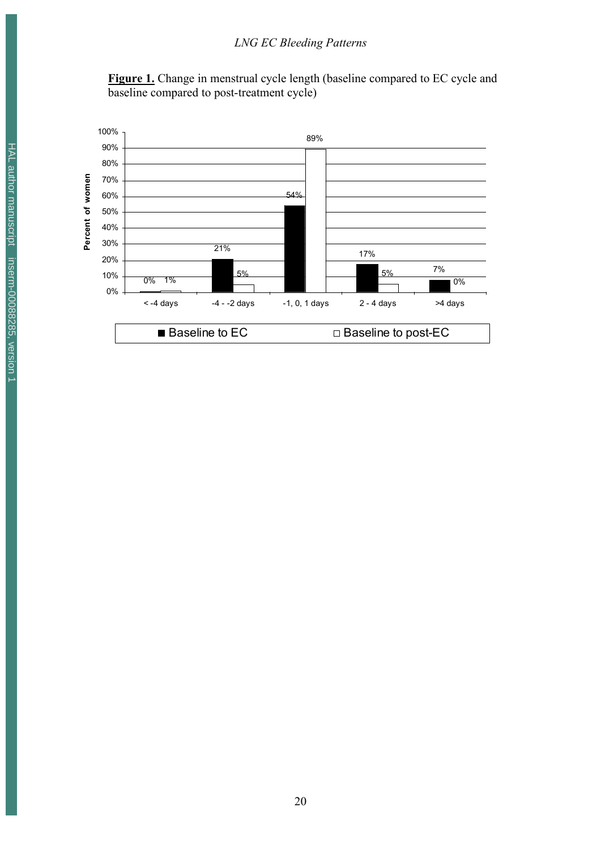Figure 1. Change in menstrual cycle length (baseline compared to EC cycle and baseline compared to post-treatment cycle)

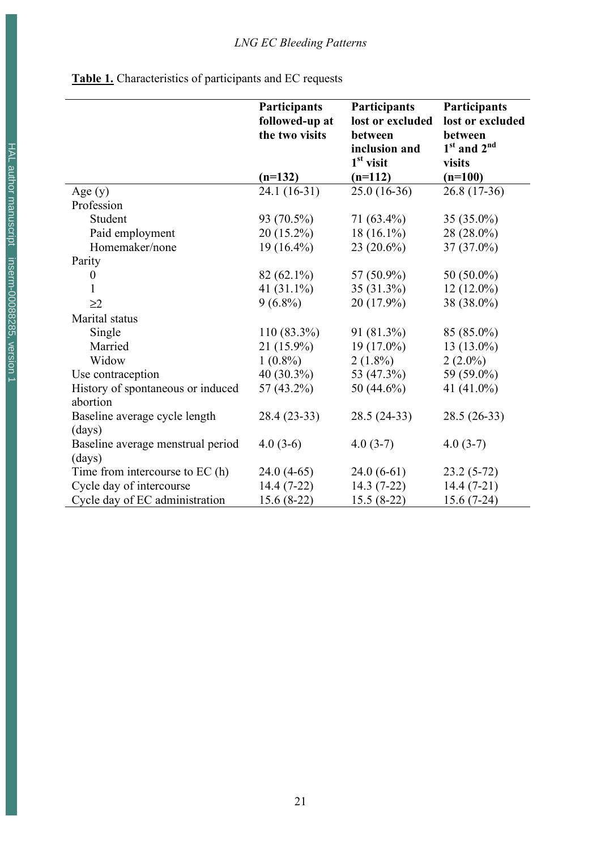|  | <b>Table 1.</b> Characteristics of participants and EC requests |
|--|-----------------------------------------------------------------|
|  |                                                                 |

|                                               | <b>Participants</b><br>followed-up at<br>the two visits | Participants<br>lost or excluded<br>between<br>inclusion and<br>$1st$ visit | <b>Participants</b><br>lost or excluded<br>between<br>$1st$ and $2nd$<br>visits |
|-----------------------------------------------|---------------------------------------------------------|-----------------------------------------------------------------------------|---------------------------------------------------------------------------------|
|                                               | $(n=132)$                                               | $(n=112)$                                                                   | $(n=100)$                                                                       |
| Age $(y)$                                     | 24.1 (16-31)                                            | $25.0(16-36)$                                                               | $26.8(17-36)$                                                                   |
| Profession                                    |                                                         |                                                                             |                                                                                 |
| Student                                       | 93 (70.5%)                                              | $71(63.4\%)$                                                                | 35 (35.0%)                                                                      |
| Paid employment                               | 20 (15.2%)                                              | $18(16.1\%)$                                                                | 28 (28.0%)                                                                      |
| Homemaker/none                                | $19(16.4\%)$                                            | $23(20.6\%)$                                                                | $37(37.0\%)$                                                                    |
| Parity                                        |                                                         |                                                                             |                                                                                 |
| $\boldsymbol{0}$                              | $82(62.1\%)$                                            | 57 (50.9%)                                                                  | 50 (50.0%)                                                                      |
| $\mathbf{1}$                                  | 41 $(31.1\%)$                                           | 35 (31.3%)                                                                  | $12(12.0\%)$                                                                    |
| $\geq$ 2                                      | $9(6.8\%)$                                              | 20 (17.9%)                                                                  | 38 (38.0%)                                                                      |
| Marital status                                |                                                         |                                                                             |                                                                                 |
| Single                                        | 110 (83.3%)                                             | 91 (81.3%)                                                                  | 85 (85.0%)                                                                      |
| Married                                       | 21 (15.9%)                                              | $19(17.0\%)$                                                                | $13(13.0\%)$                                                                    |
| Widow                                         | $1(0.8\%)$                                              | $2(1.8\%)$                                                                  | $2(2.0\%)$                                                                      |
| Use contraception                             | $40(30.3\%)$                                            | 53 (47.3%)                                                                  | 59 (59.0%)                                                                      |
| History of spontaneous or induced<br>abortion | 57 (43.2%)                                              | 50 (44.6%)                                                                  | 41 (41.0%)                                                                      |
| Baseline average cycle length                 | 28.4 (23-33)                                            | 28.5 (24-33)                                                                | $28.5(26-33)$                                                                   |
| (days)                                        |                                                         |                                                                             |                                                                                 |
| Baseline average menstrual period<br>(days)   | $4.0(3-6)$                                              | $4.0(3-7)$                                                                  | $4.0(3-7)$                                                                      |
| Time from intercourse to EC (h)               | $24.0(4-65)$                                            | $24.0(6-61)$                                                                | $23.2(5-72)$                                                                    |
| Cycle day of intercourse                      | $14.4(7-22)$                                            | $14.3(7-22)$                                                                | $14.4(7-21)$                                                                    |
| Cycle day of EC administration                | $15.6(8-22)$                                            | $15.5(8-22)$                                                                | $15.6(7-24)$                                                                    |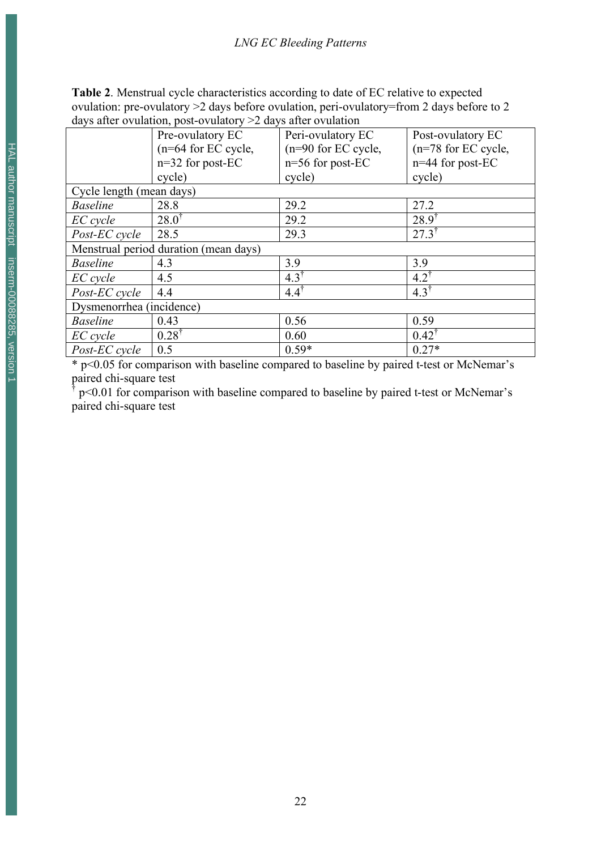**Table 2**. Menstrual cycle characteristics according to date of EC relative to expected ovulation: pre-ovulatory >2 days before ovulation, peri-ovulatory=from 2 days before to 2 days after ovulation, post-ovulatory >2 days after ovulation

|                                       | $\alpha$ and $\alpha$ and $\alpha$ and $\alpha$ and $\alpha$ and $\alpha$ and $\alpha$ and $\alpha$ and $\alpha$ and $\alpha$ |                        |                       |  |  |  |
|---------------------------------------|-------------------------------------------------------------------------------------------------------------------------------|------------------------|-----------------------|--|--|--|
|                                       | Pre-ovulatory EC                                                                                                              | Peri-ovulatory EC      | Post-ovulatory EC     |  |  |  |
|                                       | (n=64 for EC cycle,                                                                                                           | $(n=90)$ for EC cycle, | $(n=78$ for EC cycle, |  |  |  |
|                                       | $n=32$ for post-EC                                                                                                            | $n=56$ for post-EC     | n=44 for post-EC      |  |  |  |
|                                       | cycle)                                                                                                                        | cycle)                 | cycle)                |  |  |  |
| Cycle length (mean days)              |                                                                                                                               |                        |                       |  |  |  |
| <b>Baseline</b>                       | 28.8                                                                                                                          | 29.2                   | 27.2                  |  |  |  |
| EC cycle                              | $28.0^{\dagger}$                                                                                                              | 29.2                   | $28.9^{\dagger}$      |  |  |  |
| Post-EC cycle                         | 28.5                                                                                                                          | 29.3                   | $27.3^{\dagger}$      |  |  |  |
| Menstrual period duration (mean days) |                                                                                                                               |                        |                       |  |  |  |
| <b>Baseline</b>                       | 4.3                                                                                                                           | 3.9                    | 3.9                   |  |  |  |
| EC cycle                              | 4.5                                                                                                                           | $4.3^{\dagger}$        | $4.2^{\dagger}$       |  |  |  |
| Post-EC cycle                         | 4.4                                                                                                                           | $4.4^{\dagger}$        | $4.3^{\dagger}$       |  |  |  |
| Dysmenorrhea (incidence)              |                                                                                                                               |                        |                       |  |  |  |
| <b>Baseline</b>                       | 0.43                                                                                                                          | 0.56                   | 0.59                  |  |  |  |
| EC cycle                              | $0.28^{\dagger}$                                                                                                              | 0.60                   | $0.42^{\dagger}$      |  |  |  |
| Post-EC cycle                         | 0.5                                                                                                                           | $0.59*$                | $0.27*$               |  |  |  |

\* p<0.05 for comparison with baseline compared to baseline by paired t-test or McNemar's paired chi-square test

† p<0.01 for comparison with baseline compared to baseline by paired t-test or McNemar's paired chi-square test